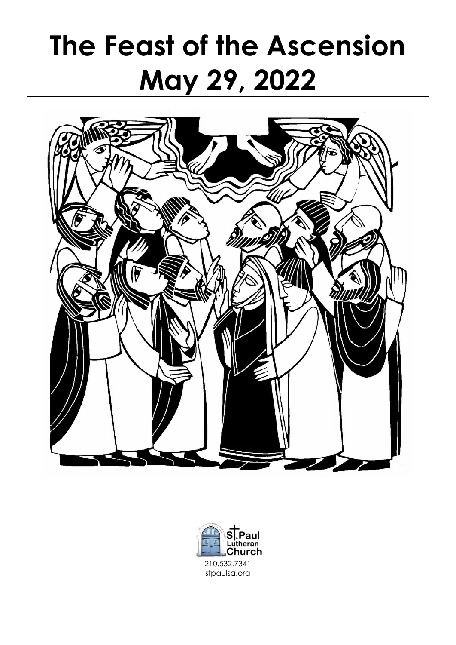# **The Feast of the Ascension May 29, 2022**



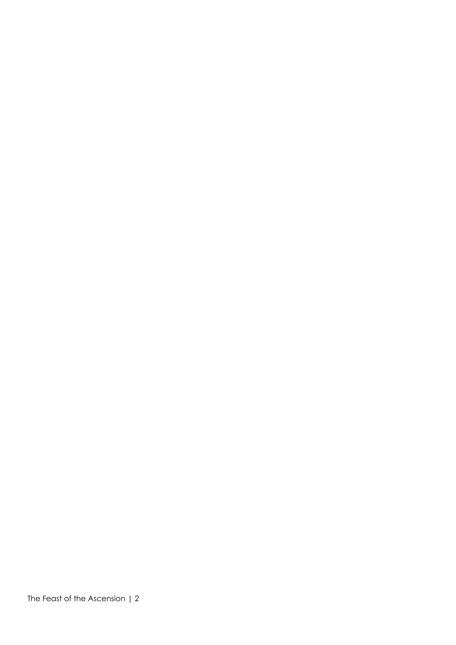The Feast of the Ascension | 2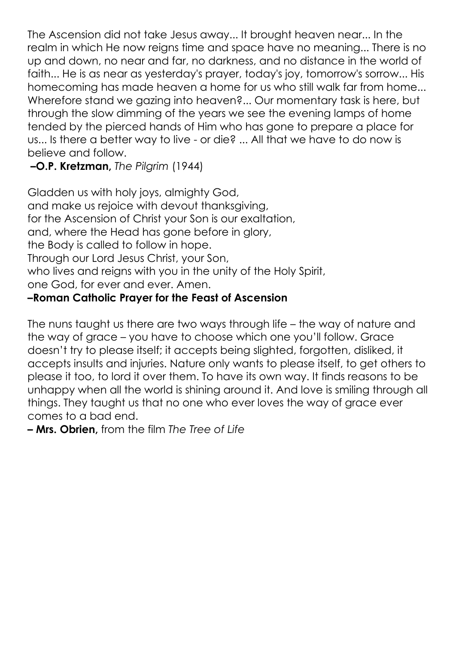The Ascension did not take Jesus away... It brought heaven near... In the realm in which He now reigns time and space have no meaning... There is no up and down, no near and far, no darkness, and no distance in the world of faith... He is as near as yesterday's prayer, today's joy, tomorrow's sorrow... His homecoming has made heaven a home for us who still walk far from home... Wherefore stand we gazing into heaven?... Our momentary task is here, but through the slow dimming of the years we see the evening lamps of home tended by the pierced hands of Him who has gone to prepare a place for us... Is there a better way to live - or die? ... All that we have to do now is believe and follow.

**–O.P. Kretzman,** *The Pilgrim* (1944)

Gladden us with holy joys, almighty God, and make us rejoice with devout thanksgiving, for the Ascension of Christ your Son is our exaltation, and, where the Head has gone before in glory, the Body is called to follow in hope. Through our Lord Jesus Christ, your Son, who lives and reigns with you in the unity of the Holy Spirit, one God, for ever and ever. Amen.

#### **–Roman Catholic Prayer for the Feast of Ascension**

The nuns taught us there are two ways through life – the way of nature and the way of grace – you have to choose which one you'll follow. Grace doesn't try to please itself; it accepts being slighted, forgotten, disliked, it accepts insults and injuries. Nature only wants to please itself, to get others to please it too, to lord it over them. To have its own way. It finds reasons to be unhappy when all the world is shining around it. And love is smiling through all things. They taught us that no one who ever loves the way of grace ever comes to a bad end.

**– Mrs. Obrien,** from the film *The Tree of Life*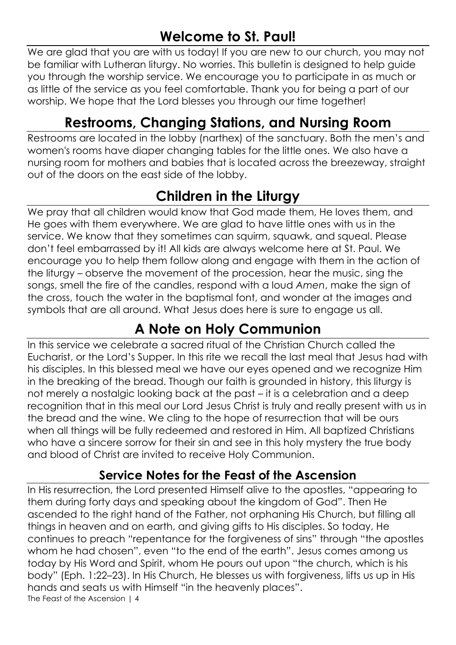## **Welcome to St. Paul!**

We are glad that you are with us today! If you are new to our church, you may not be familiar with Lutheran liturgy. No worries. This bulletin is designed to help guide you through the worship service. We encourage you to participate in as much or as little of the service as you feel comfortable. Thank you for being a part of our worship. We hope that the Lord blesses you through our time together!

## **Restrooms, Changing Stations, and Nursing Room**

Restrooms are located in the lobby (narthex) of the sanctuary. Both the men's and women's rooms have diaper changing tables for the little ones. We also have a nursing room for mothers and babies that is located across the breezeway, straight out of the doors on the east side of the lobby.

## **Children in the Liturgy**

We pray that all children would know that God made them, He loves them, and He goes with them everywhere. We are glad to have little ones with us in the service. We know that they sometimes can squirm, squawk, and squeal. Please don't feel embarrassed by it! All kids are always welcome here at St. Paul. We encourage you to help them follow along and engage with them in the action of the liturgy – observe the movement of the procession, hear the music, sing the songs, smell the fire of the candles, respond with a loud *Amen*, make the sign of the cross, touch the water in the baptismal font, and wonder at the images and symbols that are all around. What Jesus does here is sure to engage us all.

## **A Note on Holy Communion**

In this service we celebrate a sacred ritual of the Christian Church called the Eucharist, or the Lord's Supper. In this rite we recall the last meal that Jesus had with his disciples. In this blessed meal we have our eyes opened and we recognize Him in the breaking of the bread. Though our faith is grounded in history, this liturgy is not merely a nostalgic looking back at the past – it is a celebration and a deep recognition that in this meal our Lord Jesus Christ is truly and really present with us in the bread and the wine. We cling to the hope of resurrection that will be ours when all things will be fully redeemed and restored in Him. All baptized Christians who have a sincere sorrow for their sin and see in this holy mystery the true body and blood of Christ are invited to receive Holy Communion.

#### **Service Notes for the Feast of the Ascension**

The Feast of the Ascension | 4 In His resurrection, the Lord presented Himself alive to the apostles, "appearing to them during forty days and speaking about the kingdom of God". Then He ascended to the right hand of the Father, not orphaning His Church, but filling all things in heaven and on earth, and giving gifts to His disciples. So today, He continues to preach "repentance for the forgiveness of sins" through "the apostles whom he had chosen", even "to the end of the earth". Jesus comes among us today by His Word and Spirit, whom He pours out upon "the church, which is his body" (Eph. 1:22–23). In His Church, He blesses us with forgiveness, lifts us up in His hands and seats us with Himself "in the heavenly places".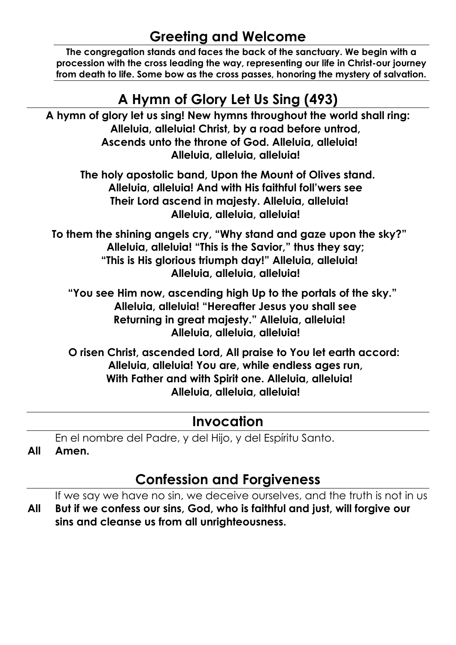#### **Greeting and Welcome**

**The congregation stands and faces the back of the sanctuary. We begin with a procession with the cross leading the way, representing our life in Christ-our journey from death to life. Some bow as the cross passes, honoring the mystery of salvation.**

## **A Hymn of Glory Let Us Sing (493)**

**A hymn of glory let us sing! New hymns throughout the world shall ring: Alleluia, alleluia! Christ, by a road before untrod, Ascends unto the throne of God. Alleluia, alleluia! Alleluia, alleluia, alleluia!**

**The holy apostolic band, Upon the Mount of Olives stand. Alleluia, alleluia! And with His faithful foll'wers see Their Lord ascend in majesty. Alleluia, alleluia! Alleluia, alleluia, alleluia!**

**To them the shining angels cry, "Why stand and gaze upon the sky?" Alleluia, alleluia! "This is the Savior," thus they say; "This is His glorious triumph day!" Alleluia, alleluia! Alleluia, alleluia, alleluia!**

 **"You see Him now, ascending high Up to the portals of the sky." Alleluia, alleluia! "Hereafter Jesus you shall see Returning in great majesty." Alleluia, alleluia! Alleluia, alleluia, alleluia!**

 **O risen Christ, ascended Lord, All praise to You let earth accord: Alleluia, alleluia! You are, while endless ages run, With Father and with Spirit one. Alleluia, alleluia! Alleluia, alleluia, alleluia!**

#### **Invocation**

En el nombre del Padre, y del Hijo, y del Espíritu Santo.

**All Amen.**

#### **Confession and Forgiveness**

If we say we have no sin, we deceive ourselves, and the truth is not in us **All But if we confess our sins, God, who is faithful and just, will forgive our sins and cleanse us from all unrighteousness.**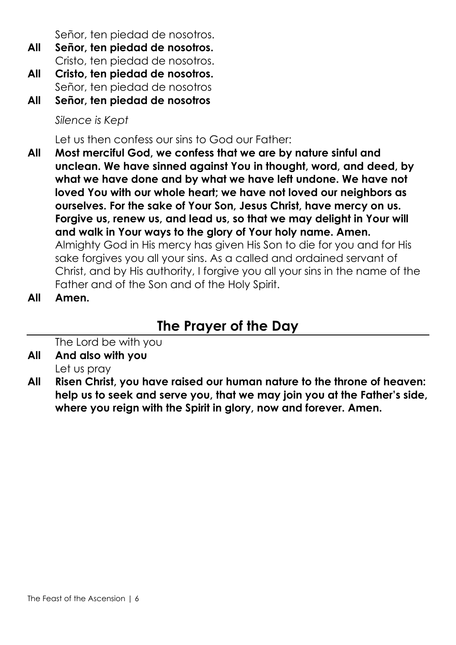Señor, ten piedad de nosotros.

- **All Señor, ten piedad de nosotros.** Cristo, ten piedad de nosotros.
- **All Cristo, ten piedad de nosotros.** Señor, ten piedad de nosotros
- **All Señor, ten piedad de nosotros**

*Silence is Kept*

Let us then confess our sins to God our Father:

- **All Most merciful God, we confess that we are by nature sinful and unclean. We have sinned against You in thought, word, and deed, by what we have done and by what we have left undone. We have not loved You with our whole heart; we have not loved our neighbors as ourselves. For the sake of Your Son, Jesus Christ, have mercy on us. Forgive us, renew us, and lead us, so that we may delight in Your will and walk in Your ways to the glory of Your holy name. Amen.** Almighty God in His mercy has given His Son to die for you and for His sake forgives you all your sins. As a called and ordained servant of Christ, and by His authority, I forgive you all your sins in the name of the Father and of the Son and of the Holy Spirit.
- **All Amen.**

## **The Prayer of the Day**

The Lord be with you

- **All And also with you** Let us pray
- **All Risen Christ, you have raised our human nature to the throne of heaven: help us to seek and serve you, that we may join you at the Father's side, where you reign with the Spirit in glory, now and forever. Amen.**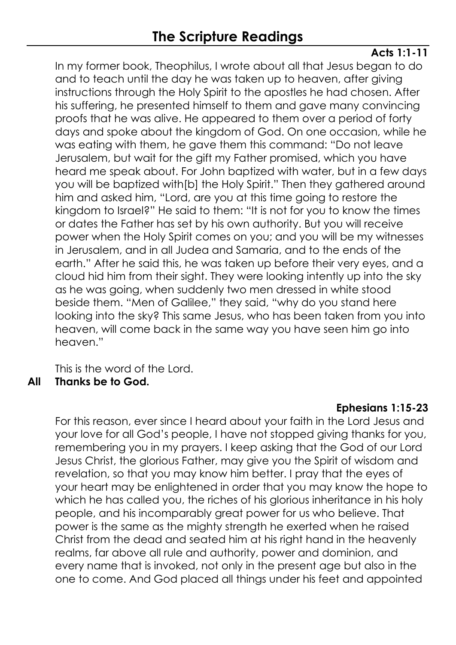#### **Acts 1:1-11**

In my former book, Theophilus, I wrote about all that Jesus began to do and to teach until the day he was taken up to heaven, after giving instructions through the Holy Spirit to the apostles he had chosen. After his suffering, he presented himself to them and gave many convincing proofs that he was alive. He appeared to them over a period of forty days and spoke about the kingdom of God. On one occasion, while he was eating with them, he gave them this command: "Do not leave Jerusalem, but wait for the gift my Father promised, which you have heard me speak about. For John baptized with water, but in a few days you will be baptized with[b] the Holy Spirit." Then they gathered around him and asked him, "Lord, are you at this time going to restore the kingdom to Israel?" He said to them: "It is not for you to know the times or dates the Father has set by his own authority. But you will receive power when the Holy Spirit comes on you; and you will be my witnesses in Jerusalem, and in all Judea and Samaria, and to the ends of the earth." After he said this, he was taken up before their very eyes, and a cloud hid him from their sight. They were looking intently up into the sky as he was going, when suddenly two men dressed in white stood beside them. "Men of Galilee," they said, "why do you stand here looking into the sky? This same Jesus, who has been taken from you into heaven, will come back in the same way you have seen him go into heaven."

This is the word of the Lord.

#### **All Thanks be to God.**

#### **Ephesians 1:15-23**

For this reason, ever since I heard about your faith in the Lord Jesus and your love for all God's people, I have not stopped giving thanks for you, remembering you in my prayers. I keep asking that the God of our Lord Jesus Christ, the glorious Father, may give you the Spirit of wisdom and revelation, so that you may know him better. I pray that the eyes of your heart may be enlightened in order that you may know the hope to which he has called you, the riches of his glorious inheritance in his holy people, and his incomparably great power for us who believe. That power is the same as the mighty strength he exerted when he raised Christ from the dead and seated him at his right hand in the heavenly realms, far above all rule and authority, power and dominion, and every name that is invoked, not only in the present age but also in the one to come. And God placed all things under his feet and appointed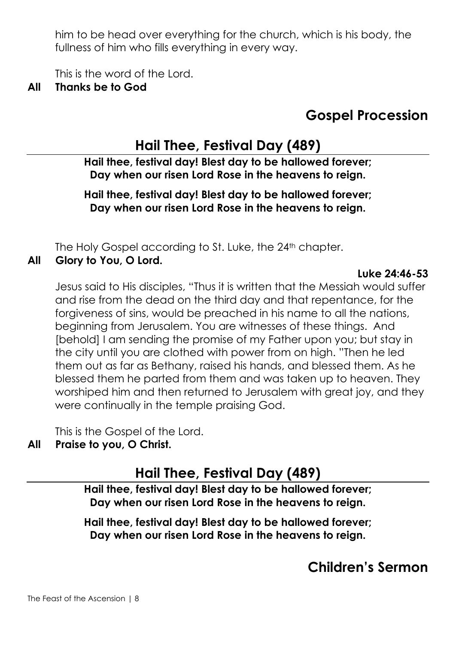him to be head over everything for the church, which is his body, the fullness of him who fills everything in every way.

This is the word of the Lord.

#### **All****Thanks be to God**

## **Gospel Procession**

### **Hail Thee, Festival Day (489)**

**Hail thee, festival day! Blest day to be hallowed forever; Day when our risen Lord Rose in the heavens to reign.**

**Hail thee, festival day! Blest day to be hallowed forever; Day when our risen Lord Rose in the heavens to reign.**

The Holy Gospel according to St. Luke, the 24<sup>th</sup> chapter.

#### **All****Glory to You, O Lord.**

#### **Luke 24:46-53**

Jesus said to His disciples, "Thus it is written that the Messiah would suffer and rise from the dead on the third day and that repentance, for the forgiveness of sins, would be preached in his name to all the nations, beginning from Jerusalem. You are witnesses of these things. And [behold] I am sending the promise of my Father upon you; but stay in the city until you are clothed with power from on high. "Then he led them out as far as Bethany, raised his hands, and blessed them. As he blessed them he parted from them and was taken up to heaven. They worshiped him and then returned to Jerusalem with great joy, and they were continually in the temple praising God.

This is the Gospel of the Lord.

#### **All****Praise to you, O Christ.**

## **Hail Thee, Festival Day (489)**

**Hail thee, festival day! Blest day to be hallowed forever; Day when our risen Lord Rose in the heavens to reign.**

**Hail thee, festival day! Blest day to be hallowed forever; Day when our risen Lord Rose in the heavens to reign.**

#### **Children's Sermon**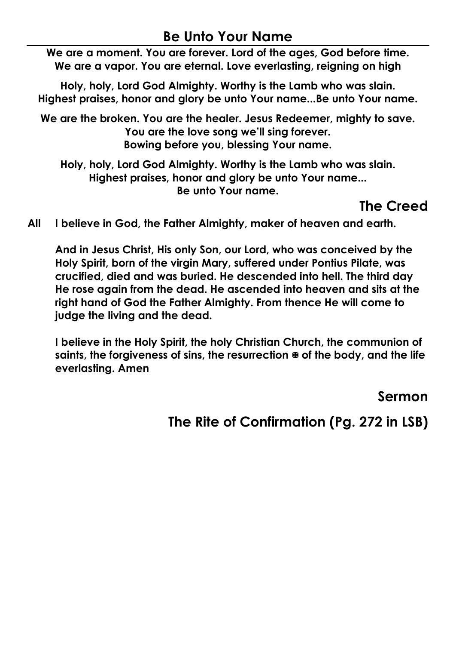#### **Be Unto Your Name**

**We are a moment. You are forever. Lord of the ages, God before time. We are a vapor. You are eternal. Love everlasting, reigning on high**

**Holy, holy, Lord God Almighty. Worthy is the Lamb who was slain. Highest praises, honor and glory be unto Your name...Be unto Your name.**

**We are the broken. You are the healer. Jesus Redeemer, mighty to save. You are the love song we'll sing forever. Bowing before you, blessing Your name.**

**Holy, holy, Lord God Almighty. Worthy is the Lamb who was slain. Highest praises, honor and glory be unto Your name... Be unto Your name.** 

#### **The Creed**

**All I believe in God, the Father Almighty, maker of heaven and earth.**

**And in Jesus Christ, His only Son, our Lord, who was conceived by the Holy Spirit, born of the virgin Mary, suffered under Pontius Pilate, was crucified, died and was buried. He descended into hell. The third day He rose again from the dead. He ascended into heaven and sits at the right hand of God the Father Almighty. From thence He will come to judge the living and the dead.** 

**I believe in the Holy Spirit, the holy Christian Church, the communion of**  saints, the forgiveness of sins, the resurrection  $\Phi$  of the body, and the life **everlasting. Amen**

#### **Sermon**

## **The Rite of Confirmation (Pg. 272 in LSB)**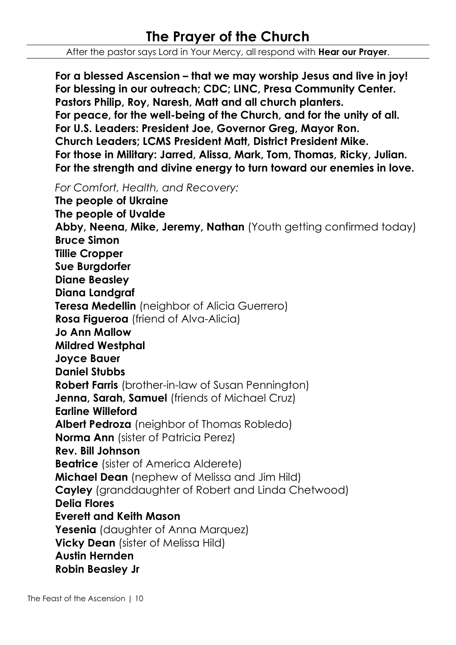#### After the pastor says Lord in Your Mercy, all respond with **Hear our Prayer**.

**For a blessed Ascension – that we may worship Jesus and live in joy! For blessing in our outreach; CDC; LINC, Presa Community Center. Pastors Philip, Roy, Naresh, Matt and all church planters. For peace, for the well-being of the Church, and for the unity of all. For U.S. Leaders: President Joe, Governor Greg, Mayor Ron. Church Leaders; LCMS President Matt, District President Mike. For those in Military: Jarred, Alissa, Mark, Tom, Thomas, Ricky, Julian. For the strength and divine energy to turn toward our enemies in love.** 

*For Comfort, Health, and Recovery:*

**The people of Ukraine The people of Uvalde Abby, Neena, Mike, Jeremy, Nathan** (Youth getting confirmed today) **Bruce Simon Tillie Cropper Sue Burgdorfer Diane Beasley Diana Landgraf Teresa Medellin** (neighbor of Alicia Guerrero) **Rosa Figueroa** (friend of Alva-Alicia) **Jo Ann Mallow Mildred Westphal Joyce Bauer Daniel Stubbs Robert Farris** (brother-in-law of Susan Pennington) **Jenna, Sarah, Samuel** (friends of Michael Cruz) **Earline Willeford Albert Pedroza** (neighbor of Thomas Robledo) **Norma Ann** (sister of Patricia Perez) **Rev. Bill Johnson Beatrice** (sister of America Alderete) **Michael Dean** (nephew of Melissa and Jim Hild) **Cayley** (granddaughter of Robert and Linda Chetwood) **Delia Flores Everett and Keith Mason Yesenia** (daughter of Anna Marquez) **Vicky Dean** (sister of Melissa Hild) **Austin Hernden Robin Beasley Jr**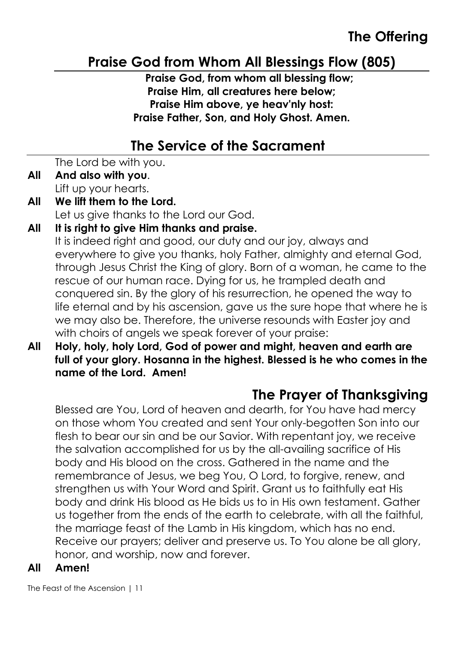### **Praise God from Whom All Blessings Flow (805)**

 **Praise God, from whom all blessing flow; Praise Him, all creatures here below; Praise Him above, ye heav'nly host: Praise Father, Son, and Holy Ghost. Amen.**

## **The Service of the Sacrament**

The Lord be with you.

- **All And also with you**. Lift up your hearts.
- **All We lift them to the Lord.**  Let us give thanks to the Lord our God.
- **All It is right to give Him thanks and praise.**

It is indeed right and good, our duty and our joy, always and everywhere to give you thanks, holy Father, almighty and eternal God, through Jesus Christ the King of glory. Born of a woman, he came to the rescue of our human race. Dying for us, he trampled death and conquered sin. By the glory of his resurrection, he opened the way to life eternal and by his ascension, gave us the sure hope that where he is we may also be. Therefore, the universe resounds with Easter joy and with choirs of angels we speak forever of your praise:

**All Holy, holy, holy Lord, God of power and might, heaven and earth are full of your glory. Hosanna in the highest. Blessed is he who comes in the name of the Lord. Amen!**

#### **The Prayer of Thanksgiving**

Blessed are You, Lord of heaven and dearth, for You have had mercy on those whom You created and sent Your only-begotten Son into our flesh to bear our sin and be our Savior. With repentant joy, we receive the salvation accomplished for us by the all-availing sacrifice of His body and His blood on the cross. Gathered in the name and the remembrance of Jesus, we beg You, O Lord, to forgive, renew, and strengthen us with Your Word and Spirit. Grant us to faithfully eat His body and drink His blood as He bids us to in His own testament. Gather us together from the ends of the earth to celebrate, with all the faithful, the marriage feast of the Lamb in His kingdom, which has no end. Receive our prayers; deliver and preserve us. To You alone be all glory, honor, and worship, now and forever.

#### **All Amen!**

The Feast of the Ascension | 11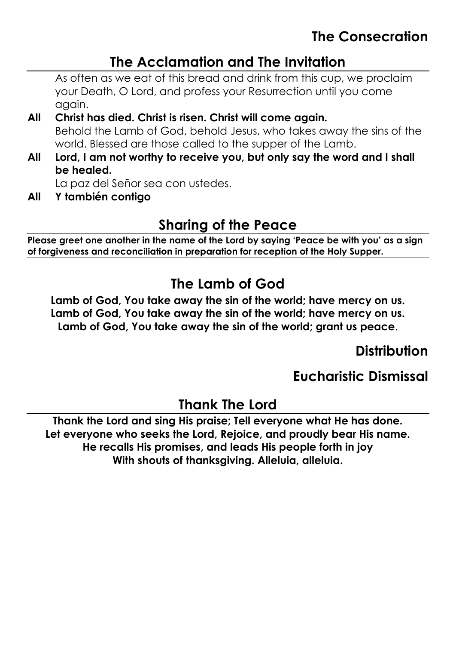## **The Consecration**

#### **The Acclamation and The Invitation**

As often as we eat of this bread and drink from this cup, we proclaim your Death, O Lord, and profess your Resurrection until you come again.

- **All Christ has died. Christ is risen. Christ will come again.**  Behold the Lamb of God, behold Jesus, who takes away the sins of the world. Blessed are those called to the supper of the Lamb.
- **All Lord, I am not worthy to receive you, but only say the word and I shall be healed.**

La paz del Señor sea con ustedes.

**All Y también contigo**

## **Sharing of the Peace**

**Please greet one another in the name of the Lord by saying 'Peace be with you' as a sign of forgiveness and reconciliation in preparation for reception of the Holy Supper.** 

## **The Lamb of God**

**Lamb of God, You take away the sin of the world; have mercy on us. Lamb of God, You take away the sin of the world; have mercy on us. Lamb of God, You take away the sin of the world; grant us peace**.

**Distribution**

## **Eucharistic Dismissal**

## **Thank The Lord**

**Thank the Lord and sing His praise; Tell everyone what He has done. Let everyone who seeks the Lord, Rejoice, and proudly bear His name. He recalls His promises, and leads His people forth in joy With shouts of thanksgiving. Alleluia, alleluia.**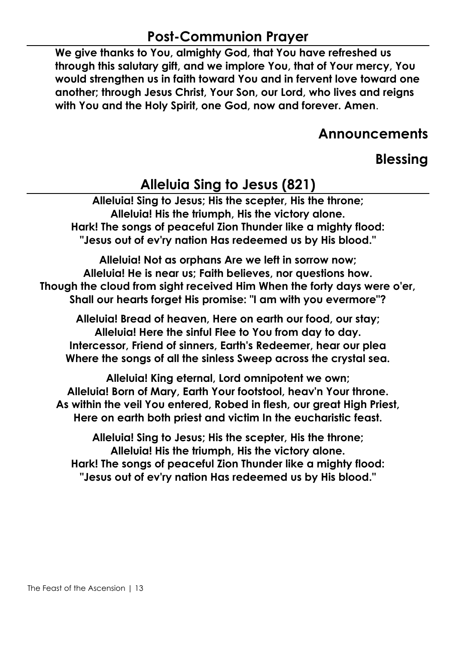#### **Post-Communion Prayer**

**We give thanks to You, almighty God, that You have refreshed us through this salutary gift, and we implore You, that of Your mercy, You would strengthen us in faith toward You and in fervent love toward one another; through Jesus Christ, Your Son, our Lord, who lives and reigns with You and the Holy Spirit, one God, now and forever. Amen**.

#### **Announcements**

#### **Blessing**

#### **Alleluia Sing to Jesus (821)**

**Alleluia! Sing to Jesus; His the scepter, His the throne; Alleluia! His the triumph, His the victory alone. Hark! The songs of peaceful Zion Thunder like a mighty flood: "Jesus out of ev'ry nation Has redeemed us by His blood."**

**Alleluia! Not as orphans Are we left in sorrow now; Alleluia! He is near us; Faith believes, nor questions how. Though the cloud from sight received Him When the forty days were o'er, Shall our hearts forget His promise: "I am with you evermore"?**

**Alleluia! Bread of heaven, Here on earth our food, our stay; Alleluia! Here the sinful Flee to You from day to day. Intercessor, Friend of sinners, Earth's Redeemer, hear our plea Where the songs of all the sinless Sweep across the crystal sea.**

**Alleluia! King eternal, Lord omnipotent we own; Alleluia! Born of Mary, Earth Your footstool, heav'n Your throne. As within the veil You entered, Robed in flesh, our great High Priest, Here on earth both priest and victim In the eucharistic feast.**

**Alleluia! Sing to Jesus; His the scepter, His the throne; Alleluia! His the triumph, His the victory alone. Hark! The songs of peaceful Zion Thunder like a mighty flood: "Jesus out of ev'ry nation Has redeemed us by His blood."**